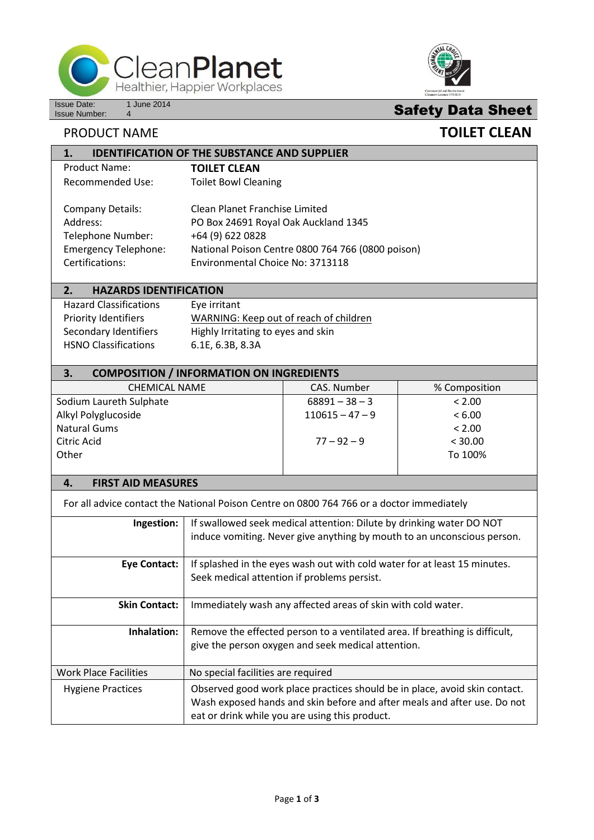

**1. IDENTIFICATION OF THE SUBSTANCE AND SUPPLIER**



# **Safety Data Sheet**

## **PRODUCT NAME TOILET CLEAN**

| <u>IDENTIFICATION OF THE SUBSTAINCE AND SUPPLIER</u> |                                                   |
|------------------------------------------------------|---------------------------------------------------|
| Product Name:                                        | <b>TOILET CLEAN</b>                               |
| Recommended Use:                                     | <b>Toilet Bowl Cleaning</b>                       |
|                                                      |                                                   |
| <b>Company Details:</b>                              | Clean Planet Franchise Limited                    |
| Address:                                             | PO Box 24691 Royal Oak Auckland 1345              |
| Telephone Number:                                    | +64 (9) 622 0828                                  |
| <b>Emergency Telephone:</b>                          | National Poison Centre 0800 764 766 (0800 poison) |
| Certifications:                                      | Environmental Choice No: 3713118                  |
|                                                      |                                                   |
| <b>HAZARDS IDENTIFICATION</b>                        |                                                   |

| --<br>,,,,,,,,,,,,,,,,,,,,,,,,,,,,,,,, |                                        |
|----------------------------------------|----------------------------------------|
| <b>Hazard Classifications</b>          | Eye irritant                           |
| <b>Priority Identifiers</b>            | WARNING: Keep out of reach of children |
| Secondary Identifiers                  | Highly Irritating to eyes and skin     |
| <b>HSNO Classifications</b>            | 6.1E, 6.3B, 8.3A                       |
|                                        |                                        |

## **3. COMPOSITION / INFORMATION ON INGREDIENTS**

| <b>CHEMICAL NAME</b>    | CAS. Number       | % Composition |
|-------------------------|-------------------|---------------|
| Sodium Laureth Sulphate | $68891 - 38 - 3$  | < 2.00        |
| Alkyl Polyglucoside     | $110615 - 47 - 9$ | < 6.00        |
| <b>Natural Gums</b>     |                   | < 2.00        |
| Citric Acid             | $77 - 92 - 9$     | < 30.00       |
| Other                   |                   | To 100%       |
|                         |                   |               |

## **4. FIRST AID MEASURES**

For all advice contact the National Poison Centre on 0800 764 766 or a doctor immediately

| Ingestion:                   | If swallowed seek medical attention: Dilute by drinking water DO NOT<br>induce vomiting. Never give anything by mouth to an unconscious person.                                                          |
|------------------------------|----------------------------------------------------------------------------------------------------------------------------------------------------------------------------------------------------------|
| <b>Eye Contact:</b>          | If splashed in the eyes wash out with cold water for at least 15 minutes.<br>Seek medical attention if problems persist.                                                                                 |
| <b>Skin Contact:</b>         | Immediately wash any affected areas of skin with cold water.                                                                                                                                             |
| Inhalation:                  | Remove the effected person to a ventilated area. If breathing is difficult,<br>give the person oxygen and seek medical attention.                                                                        |
| <b>Work Place Facilities</b> | No special facilities are required                                                                                                                                                                       |
| <b>Hygiene Practices</b>     | Observed good work place practices should be in place, avoid skin contact.<br>Wash exposed hands and skin before and after meals and after use. Do not<br>eat or drink while you are using this product. |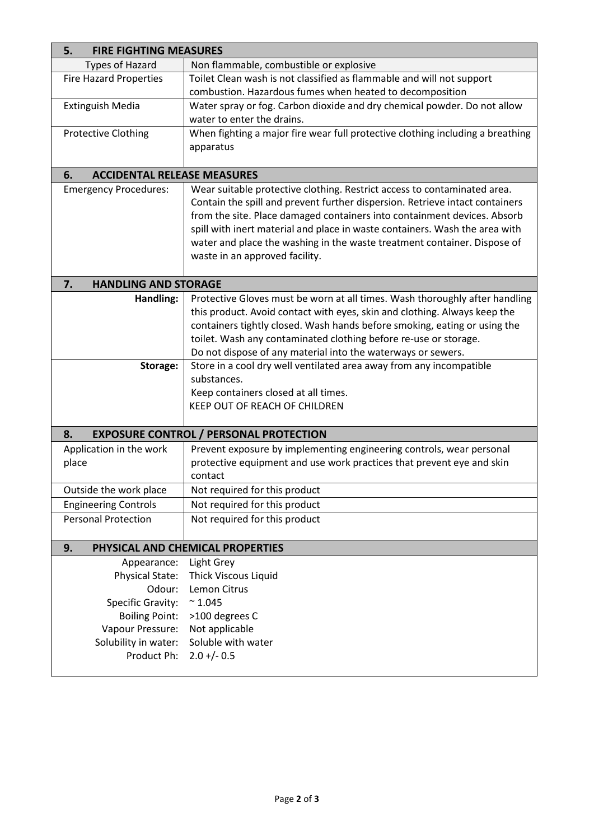| <b>FIRE FIGHTING MEASURES</b><br>5.      |                                                                                |  |  |  |
|------------------------------------------|--------------------------------------------------------------------------------|--|--|--|
| <b>Types of Hazard</b>                   | Non flammable, combustible or explosive                                        |  |  |  |
| <b>Fire Hazard Properties</b>            | Toilet Clean wash is not classified as flammable and will not support          |  |  |  |
|                                          | combustion. Hazardous fumes when heated to decomposition                       |  |  |  |
| <b>Extinguish Media</b>                  | Water spray or fog. Carbon dioxide and dry chemical powder. Do not allow       |  |  |  |
|                                          | water to enter the drains.                                                     |  |  |  |
| <b>Protective Clothing</b>               | When fighting a major fire wear full protective clothing including a breathing |  |  |  |
|                                          | apparatus                                                                      |  |  |  |
|                                          |                                                                                |  |  |  |
| <b>ACCIDENTAL RELEASE MEASURES</b><br>6. |                                                                                |  |  |  |
| <b>Emergency Procedures:</b>             | Wear suitable protective clothing. Restrict access to contaminated area.       |  |  |  |
|                                          | Contain the spill and prevent further dispersion. Retrieve intact containers   |  |  |  |
|                                          | from the site. Place damaged containers into containment devices. Absorb       |  |  |  |
|                                          | spill with inert material and place in waste containers. Wash the area with    |  |  |  |
|                                          | water and place the washing in the waste treatment container. Dispose of       |  |  |  |
|                                          | waste in an approved facility.                                                 |  |  |  |
|                                          |                                                                                |  |  |  |
| 7.<br><b>HANDLING AND STORAGE</b>        |                                                                                |  |  |  |
| Handling:                                | Protective Gloves must be worn at all times. Wash thoroughly after handling    |  |  |  |
|                                          | this product. Avoid contact with eyes, skin and clothing. Always keep the      |  |  |  |
|                                          | containers tightly closed. Wash hands before smoking, eating or using the      |  |  |  |
|                                          | toilet. Wash any contaminated clothing before re-use or storage.               |  |  |  |
|                                          | Do not dispose of any material into the waterways or sewers.                   |  |  |  |
| Storage:                                 | Store in a cool dry well ventilated area away from any incompatible            |  |  |  |
|                                          | substances.                                                                    |  |  |  |
|                                          | Keep containers closed at all times.<br>KEEP OUT OF REACH OF CHILDREN          |  |  |  |
|                                          |                                                                                |  |  |  |
| 8.                                       | <b>EXPOSURE CONTROL / PERSONAL PROTECTION</b>                                  |  |  |  |
| Application in the work                  | Prevent exposure by implementing engineering controls, wear personal           |  |  |  |
| place                                    | protective equipment and use work practices that prevent eye and skin          |  |  |  |
|                                          | contact                                                                        |  |  |  |
| Outside the work place                   | Not required for this product                                                  |  |  |  |
| <b>Engineering Controls</b>              | Not required for this product                                                  |  |  |  |
| <b>Personal Protection</b>               | Not required for this product                                                  |  |  |  |
|                                          |                                                                                |  |  |  |
| 9.                                       | PHYSICAL AND CHEMICAL PROPERTIES                                               |  |  |  |
| Appearance:                              | Light Grey                                                                     |  |  |  |
| Physical State:                          | <b>Thick Viscous Liquid</b>                                                    |  |  |  |
| Odour:                                   | Lemon Citrus                                                                   |  |  |  |
| Specific Gravity:                        | $~^{\sim} 1.045$                                                               |  |  |  |
| <b>Boiling Point:</b>                    | >100 degrees C                                                                 |  |  |  |
| Vapour Pressure:                         | Not applicable                                                                 |  |  |  |
| Solubility in water:                     | Soluble with water                                                             |  |  |  |
| Product Ph:                              | $2.0 +/- 0.5$                                                                  |  |  |  |
|                                          |                                                                                |  |  |  |